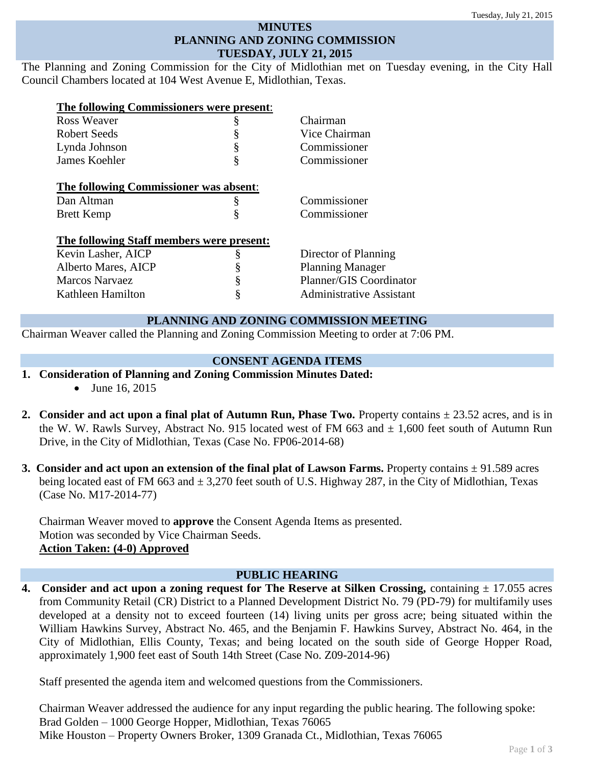### **MINUTES PLANNING AND ZONING COMMISSION TUESDAY, JULY 21, 2015**

The Planning and Zoning Commission for the City of Midlothian met on Tuesday evening, in the City Hall Council Chambers located at 104 West Avenue E, Midlothian, Texas.

| The following Commissioners were present: |   |                                 |
|-------------------------------------------|---|---------------------------------|
| Ross Weaver                               | ş | Chairman                        |
| <b>Robert Seeds</b>                       | § | Vice Chairman                   |
| Lynda Johnson                             | § | Commissioner                    |
| James Koehler                             | ş | Commissioner                    |
| The following Commissioner was absent:    |   |                                 |
| Dan Altman                                | § | Commissioner                    |
| <b>Brett Kemp</b>                         | ş | Commissioner                    |
| The following Staff members were present: |   |                                 |
| Kevin Lasher, AICP                        | § | Director of Planning            |
| Alberto Mares, AICP                       | § | <b>Planning Manager</b>         |
| Marcos Narvaez                            | § | Planner/GIS Coordinator         |
| Kathleen Hamilton                         | § | <b>Administrative Assistant</b> |
|                                           |   |                                 |

# **PLANNING AND ZONING COMMISSION MEETING**

Chairman Weaver called the Planning and Zoning Commission Meeting to order at 7:06 PM.

## **CONSENT AGENDA ITEMS**

- **1. Consideration of Planning and Zoning Commission Minutes Dated:** 
	- June 16, 2015
- **2. Consider and act upon a final plat of Autumn Run, Phase Two.** Property contains  $\pm 23.52$  acres, and is in the W. W. Rawls Survey, Abstract No. 915 located west of FM 663 and  $\pm$  1,600 feet south of Autumn Run Drive, in the City of Midlothian, Texas (Case No. FP06-2014-68)
- **3. Consider and act upon an extension of the final plat of Lawson Farms.** Property contains ± 91.589 acres being located east of FM 663 and  $\pm$  3,270 feet south of U.S. Highway 287, in the City of Midlothian, Texas (Case No. M17-2014-77)

Chairman Weaver moved to **approve** the Consent Agenda Items as presented. Motion was seconded by Vice Chairman Seeds. **Action Taken: (4-0) Approved**

## **PUBLIC HEARING**

**4. Consider and act upon a zoning request for The Reserve at Silken Crossing, containing**  $\pm$  **17.055 acres** from Community Retail (CR) District to a Planned Development District No. 79 (PD-79) for multifamily uses developed at a density not to exceed fourteen (14) living units per gross acre; being situated within the William Hawkins Survey, Abstract No. 465, and the Benjamin F. Hawkins Survey, Abstract No. 464, in the City of Midlothian, Ellis County, Texas; and being located on the south side of George Hopper Road, approximately 1,900 feet east of South 14th Street (Case No. Z09-2014-96)

Staff presented the agenda item and welcomed questions from the Commissioners.

Chairman Weaver addressed the audience for any input regarding the public hearing. The following spoke: Brad Golden – 1000 George Hopper, Midlothian, Texas 76065 Mike Houston – Property Owners Broker, 1309 Granada Ct., Midlothian, Texas 76065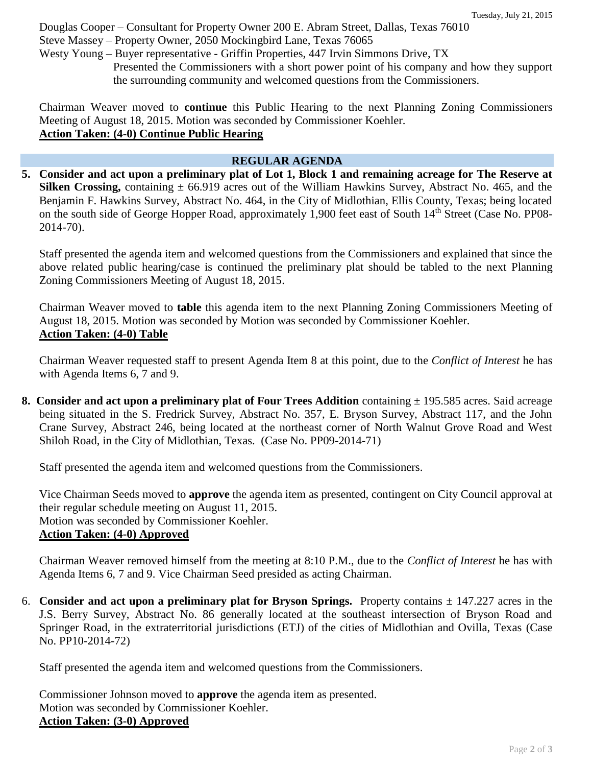Douglas Cooper – Consultant for Property Owner 200 E. Abram Street, Dallas, Texas 76010

Steve Massey – Property Owner, 2050 Mockingbird Lane, Texas 76065

Westy Young – Buyer representative - Griffin Properties, 447 Irvin Simmons Drive, TX Presented the Commissioners with a short power point of his company and how they support the surrounding community and welcomed questions from the Commissioners.

Chairman Weaver moved to **continue** this Public Hearing to the next Planning Zoning Commissioners Meeting of August 18, 2015. Motion was seconded by Commissioner Koehler. **Action Taken: (4-0) Continue Public Hearing**

# **REGULAR AGENDA**

**5. Consider and act upon a preliminary plat of Lot 1, Block 1 and remaining acreage for The Reserve at Silken Crossing,** containing  $\pm$  66.919 acres out of the William Hawkins Survey, Abstract No. 465, and the Benjamin F. Hawkins Survey, Abstract No. 464, in the City of Midlothian, Ellis County, Texas; being located on the south side of George Hopper Road, approximately 1,900 feet east of South 14<sup>th</sup> Street (Case No. PP08-2014-70).

Staff presented the agenda item and welcomed questions from the Commissioners and explained that since the above related public hearing/case is continued the preliminary plat should be tabled to the next Planning Zoning Commissioners Meeting of August 18, 2015.

Chairman Weaver moved to **table** this agenda item to the next Planning Zoning Commissioners Meeting of August 18, 2015. Motion was seconded by Motion was seconded by Commissioner Koehler. **Action Taken: (4-0) Table**

Chairman Weaver requested staff to present Agenda Item 8 at this point, due to the *Conflict of Interest* he has with Agenda Items 6, 7 and 9.

**8. Consider and act upon a preliminary plat of Four Trees Addition containing**  $\pm$  **195.585 acres. Said acreage** being situated in the S. Fredrick Survey, Abstract No. 357, E. Bryson Survey, Abstract 117, and the John Crane Survey, Abstract 246, being located at the northeast corner of North Walnut Grove Road and West Shiloh Road, in the City of Midlothian, Texas.(Case No. PP09-2014-71)

Staff presented the agenda item and welcomed questions from the Commissioners.

Vice Chairman Seeds moved to **approve** the agenda item as presented, contingent on City Council approval at their regular schedule meeting on August 11, 2015. Motion was seconded by Commissioner Koehler. **Action Taken: (4-0) Approved**

Chairman Weaver removed himself from the meeting at 8:10 P.M., due to the *Conflict of Interest* he has with Agenda Items 6, 7 and 9. Vice Chairman Seed presided as acting Chairman.

6. **Consider and act upon a preliminary plat for Bryson Springs.** Property contains ± 147.227 acres in the J.S. Berry Survey, Abstract No. 86 generally located at the southeast intersection of Bryson Road and Springer Road, in the extraterritorial jurisdictions (ETJ) of the cities of Midlothian and Ovilla, Texas (Case No. PP10-2014-72)

Staff presented the agenda item and welcomed questions from the Commissioners.

Commissioner Johnson moved to **approve** the agenda item as presented. Motion was seconded by Commissioner Koehler. **Action Taken: (3-0) Approved**